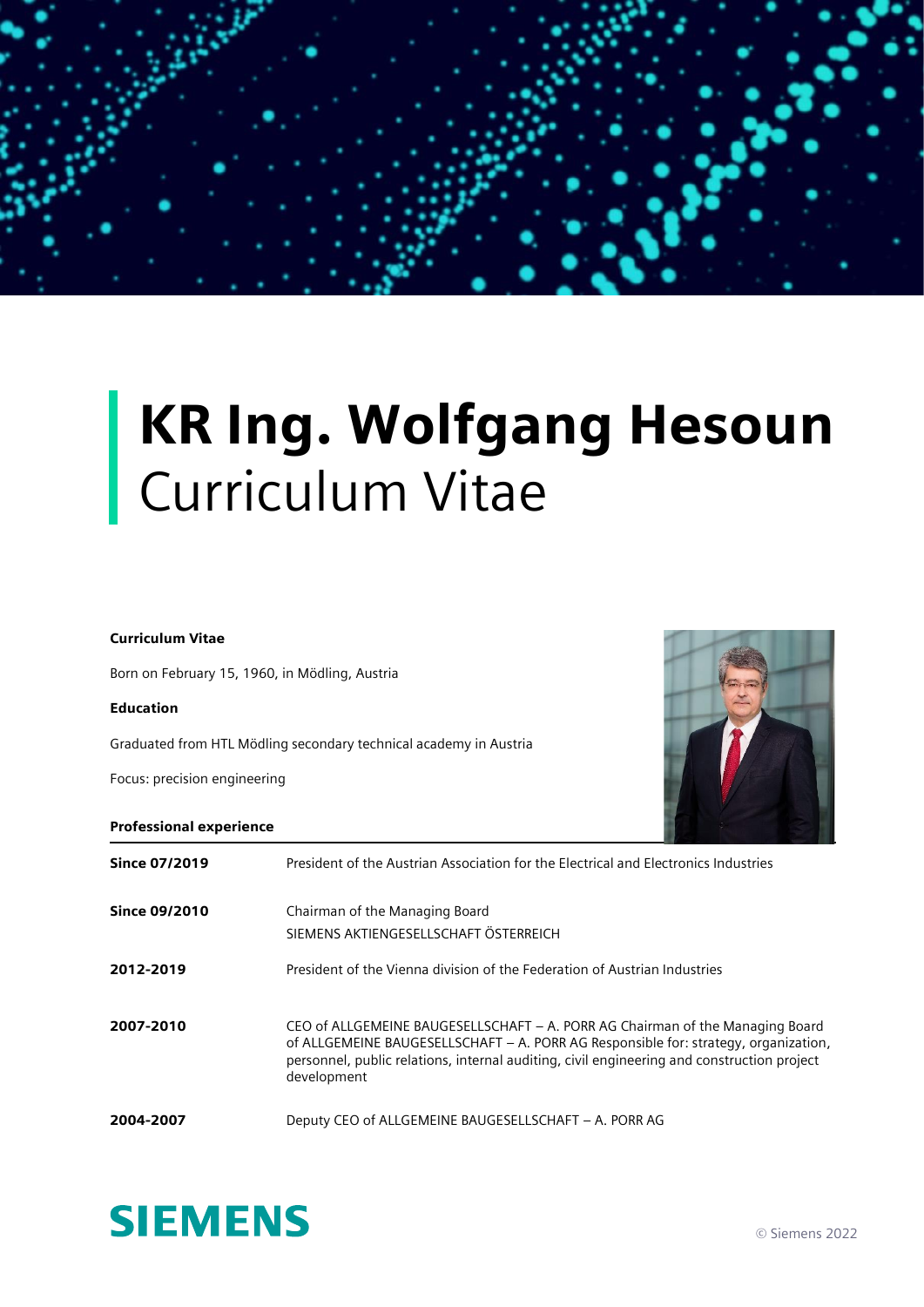## KR Ing. Wolfgang Hesoun Curriculum Vitae

## Curriculum Vitae

Born on February 15, 1960, in Mödling, Austria

## Education

Graduated from HTL Mödling secondary technical academy in Austria

Focus: precision engineering



## Professional experience

| <b>Since 07/2019</b> | President of the Austrian Association for the Electrical and Electronics Industries                                                                                                                                                                                               |
|----------------------|-----------------------------------------------------------------------------------------------------------------------------------------------------------------------------------------------------------------------------------------------------------------------------------|
| <b>Since 09/2010</b> | Chairman of the Managing Board<br>SIEMENS AKTIENGESELLSCHAFT ÖSTERREICH                                                                                                                                                                                                           |
| 2012-2019            | President of the Vienna division of the Federation of Austrian Industries                                                                                                                                                                                                         |
| 2007-2010            | CEO of ALLGEMEINE BAUGESELLSCHAFT - A. PORR AG Chairman of the Managing Board<br>of ALLGEMEINE BAUGESELLSCHAFT - A. PORR AG Responsible for: strategy, organization,<br>personnel, public relations, internal auditing, civil engineering and construction project<br>development |
| 2004-2007            | Deputy CEO of ALLGEMEINE BAUGESELLSCHAFT - A. PORR AG                                                                                                                                                                                                                             |